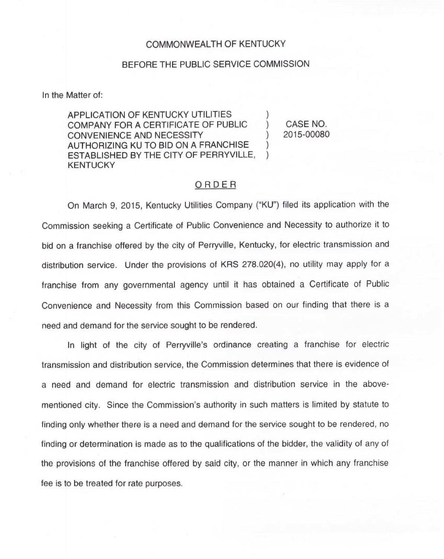## COMMONWEALTH OF KENTUCKY

## BEFORE THE PUBLIC SERVICE COMMISSION

In the Matter of:

APPLICATION OF KENTUCKY UTILITIES COMPANY FOR A CERTIFICATE OF PUBLIC CONVENIENCE AND NECESSITY AUTHORIZING KU TO BID ON A FRANCHISE ESTABLISHED BY THE CITY OF PERRYVILLE, **KENTUCKY** 

) CASE NO. ) 2015-00080

)

) )

## ORDER

On March 9, 2015, Kentucky Utilities Company ("KU") filed its application with the Commission seeking a Certificate of Public Convenience and Necessity to authorize it to bid on a franchise offered by the city of Perryville, Kentucky, for electric transmission and distribution service. Under the provisions of KRS 278.020(4), no utility may apply for a franchise from any governmental agency until it has obtained a Certificate of Public Convenience and Necessity from this Commission based on our finding that there is a need and demand for the service sought to be rendered.

In light of the city of Perryville's ordinance creating a franchise for electric transmission and distribution service, the Commission determines that there is evidence of a need and demand for electric transmission and distribution service in the abovementioned city. Since the Commission's authority in such matters is limited by statute to finding only whether there is a need and demand for the service sought to be rendered, no finding or determination is made as to the qualifications of the bidder, the validity of any of the provisions of the franchise offered by said city, or the manner in which any franchise fee is to be treated for rate purposes.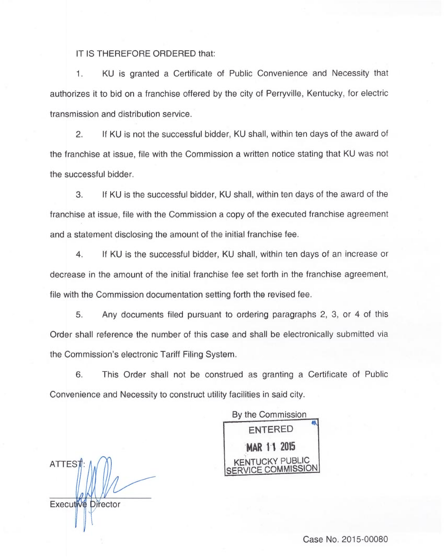## IT IS THEREFORE ORDERED that:

1. KU is granted a Certificate of Public Convenience and Necessity that authorizes it to bid on a franchise offered by the city of Perryville, Kentucky, for electric transmission and distribution service.

2. If KU is not the successful bidder, KU shall, within ten days of the award of the franchise at issue, file with the Commission a written notice stating that KU was not the successful bidder.

3. If KU is the successful bidder, KU shall, within ten days of the award of the franchise at issue, file with the Commission a copy of the executed franchise agreement and a statement disclosing the amount of the initial franchise fee.

4. If KU is the successful bidder, KU shall, within ten days of an increase or decrease in the amount of the initial franchise fee set forth in the franchise agreement, file with the Commission documentation setting forth the revised fee.

5. Any documents filed pursuant to ordering paragraphs 2, 3, or 4 of this Order shall reference the number of this case and shall be electronically submitted via the Commission's electronic Tariff Filing System.

6. This Order shall not be construed as granting a Certificate of Public Convenience and Necessity to construct utility facilities in said city.

By the Commission ENTERED MAR 11 2015 KENTUCKY PUBLIC SERVICE COMMISSION

ATTES Executive Director